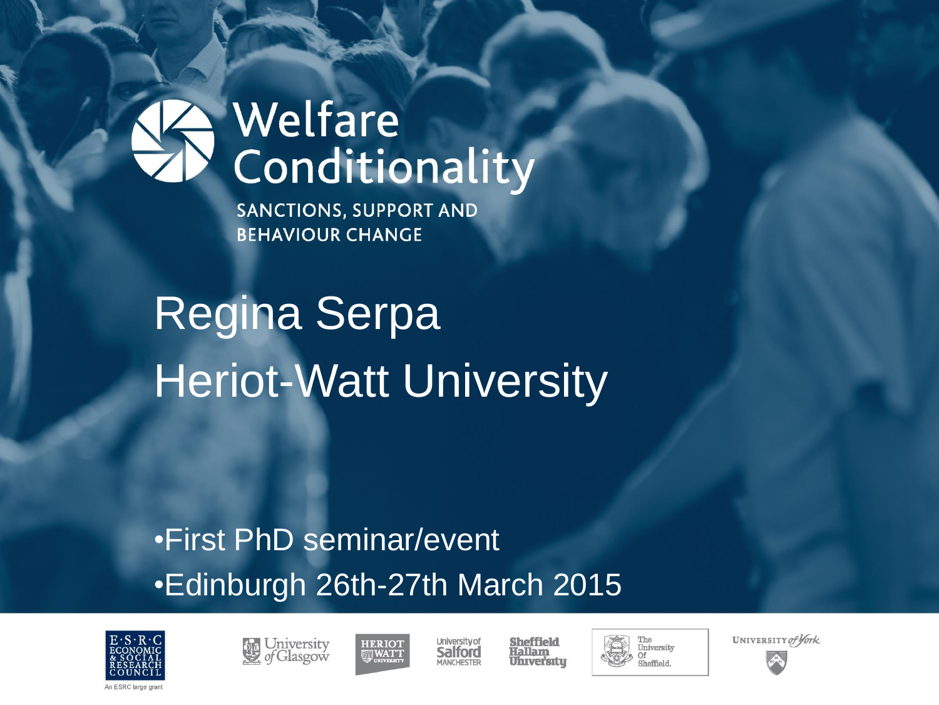### Welfare Conditionality

**SANCTIONS, SUPPORT AND BEHAVIOUR CHANGE** 

# Regina Serpa Heriot-Watt University

#### •First PhD seminar/event •Edinburgh 26th-27th March 2015







University of Salford MANCHESTER

**Sheffield** Hallam **Uhrversitu** 





UNIVERSITY of York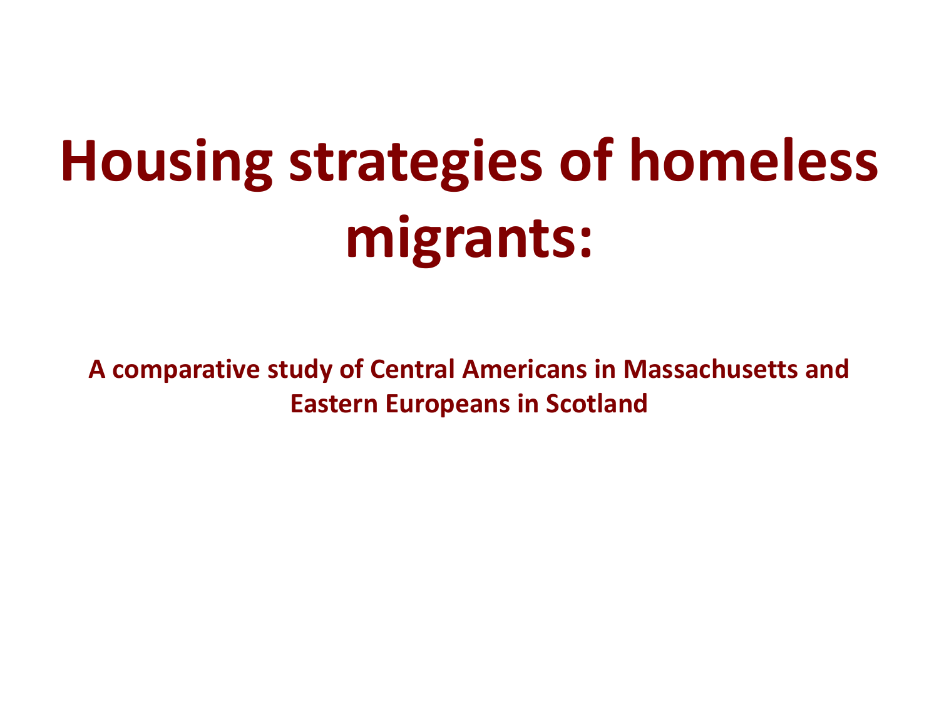# **Housing strategies of homeless migrants:**

**A comparative study of Central Americans in Massachusetts and Eastern Europeans in Scotland**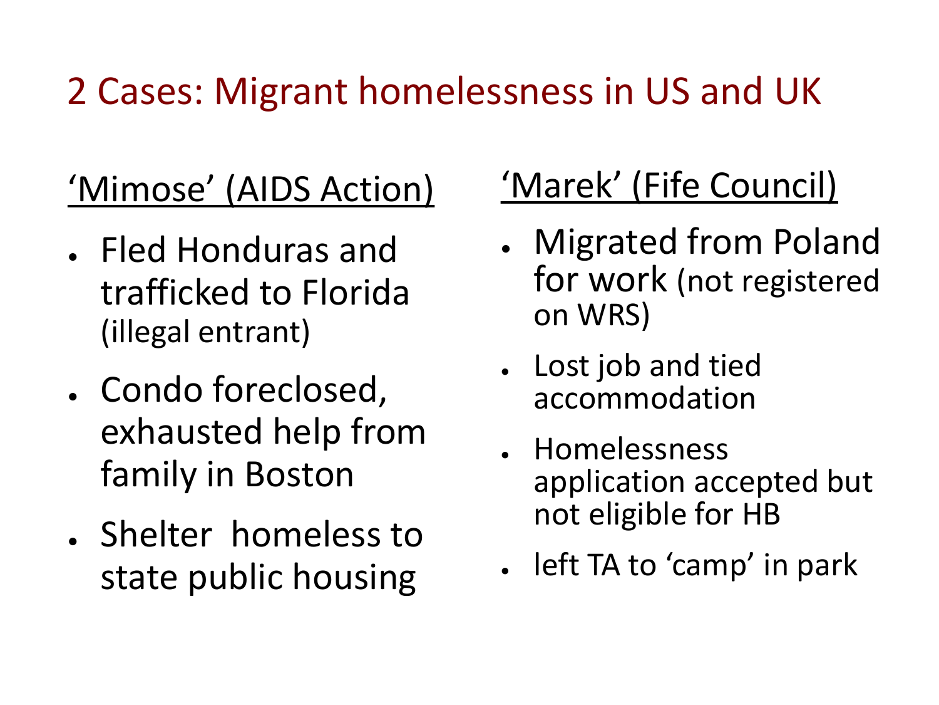#### 2 Cases: Migrant homelessness in US and UK

#### 'Mimose' (AIDS Action)

- Fled Honduras and trafficked to Florida (illegal entrant)
- Condo foreclosed, exhausted help from family in Boston
- Shelter homeless to state public housing

#### 'Marek' (Fife Council)

- Migrated from Poland for work (not registered on WRS)
- Lost job and tied accommodation
- **Homelessness** application accepted but not eligible for HB
- left TA to 'camp' in park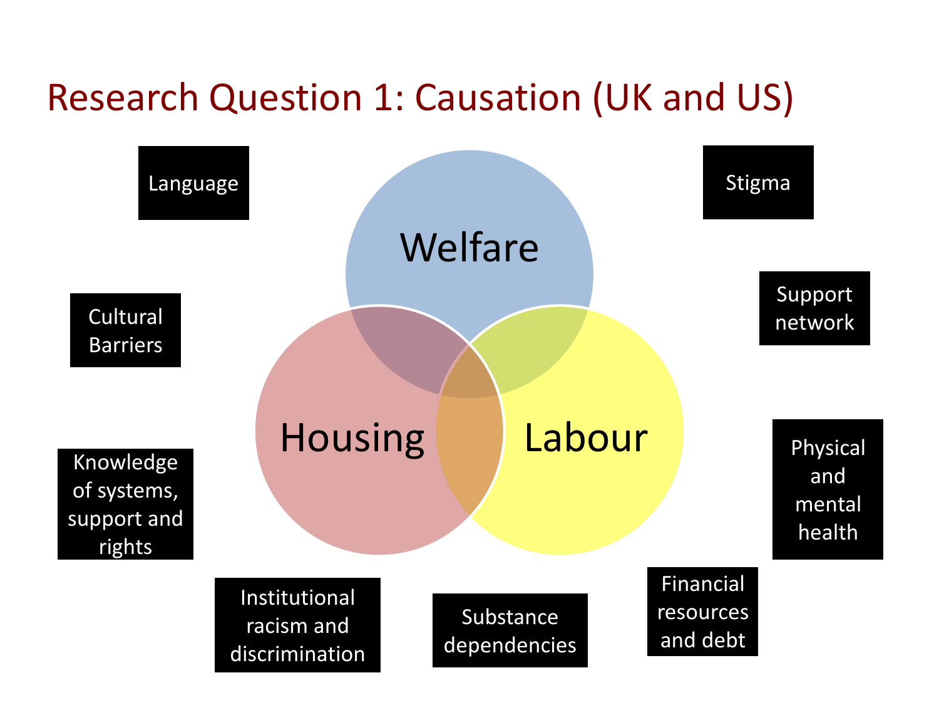#### Research Question 1: Causation (UK and US)

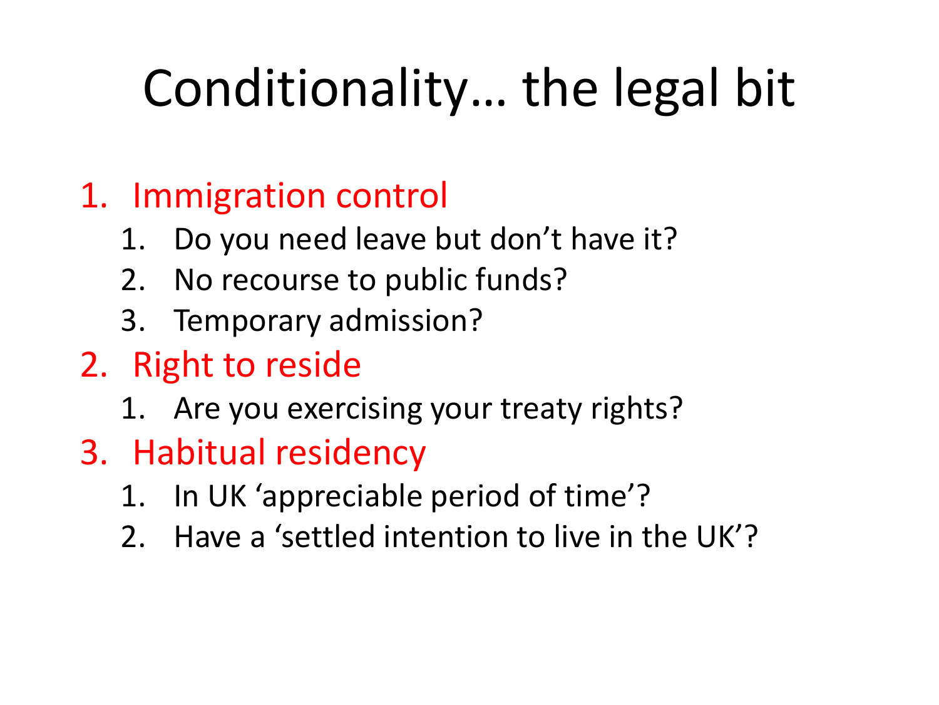# Conditionality… the legal bit

#### 1. Immigration control

- 1. Do you need leave but don't have it?
- 2. No recourse to public funds?
- 3. Temporary admission?
- 2. Right to reside
	- 1. Are you exercising your treaty rights?
- 3. Habitual residency
	- 1. In UK 'appreciable period of time'?
	- 2. Have a 'settled intention to live in the UK'?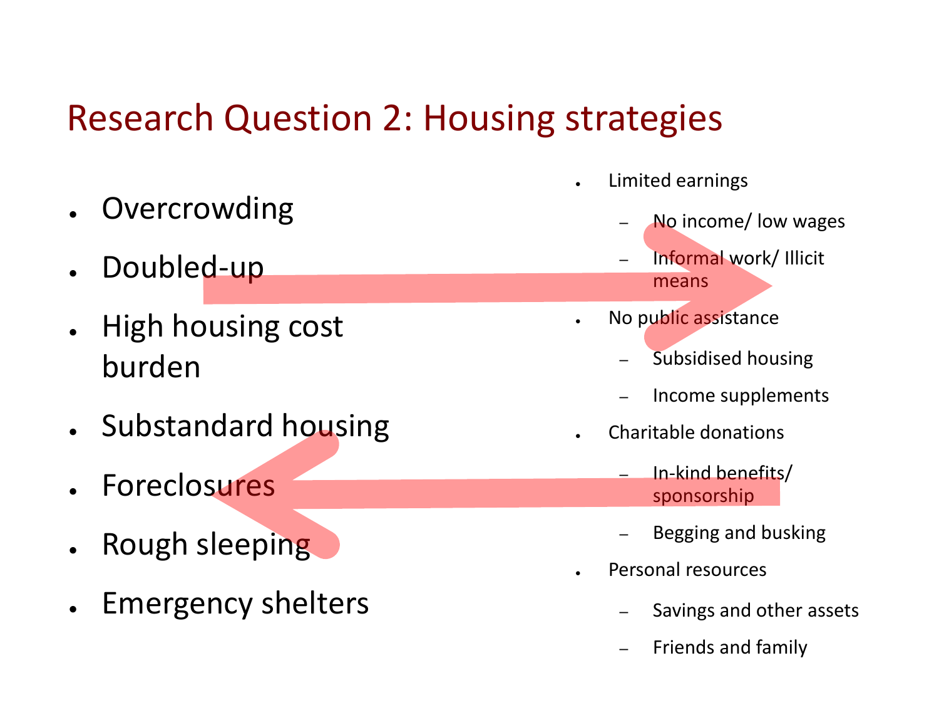#### Research Question 2: Housing strategies

- Overcrowding
- Doubled-up
- **High housing cost** burden
- Substandard housing
- **Foreclosures**
- **Rough sleeping**
- Emergency shelters
- **Limited earnings** 
	- No income/ low wages
	- Informal work/ Illicit means
- No public assistance
	- Subsidised housing
	- Income supplements
- Charitable donations
	- In-kind benefits/ sponsorship
	- Begging and busking
- Personal resources
	- Savings and other assets
	- Friends and family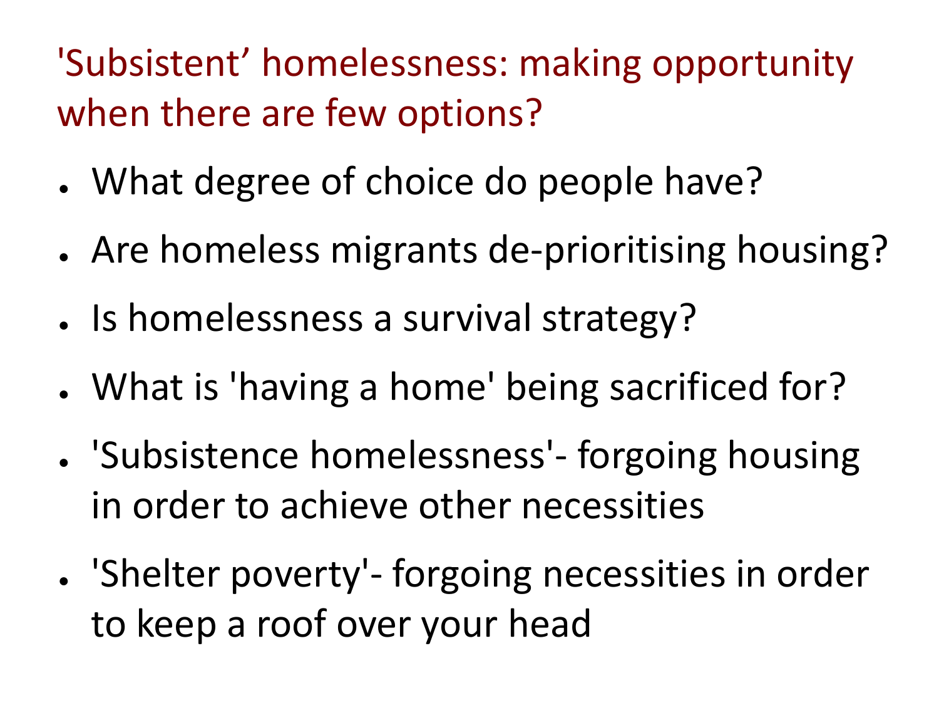'Subsistent' homelessness: making opportunity when there are few options?

- What degree of choice do people have?
- Are homeless migrants de-prioritising housing?
- Is homelessness a survival strategy?
- What is 'having a home' being sacrificed for?
- 'Subsistence homelessness'- forgoing housing in order to achieve other necessities
- 'Shelter poverty'- forgoing necessities in order to keep a roof over your head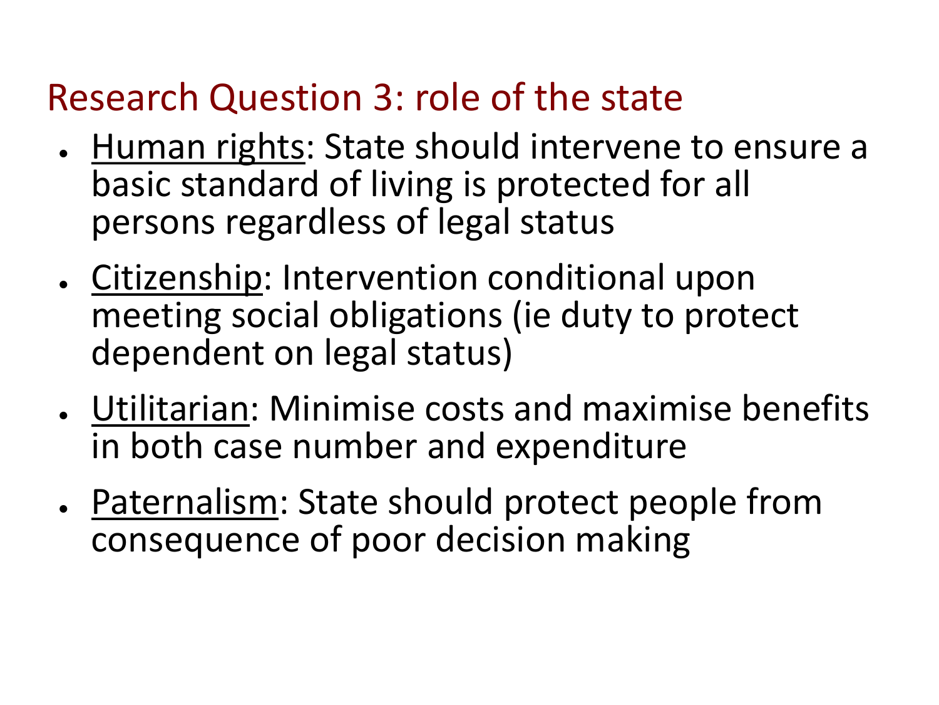#### Research Question 3: role of the state

- Human rights: State should intervene to ensure a basic standard of living is protected for all persons regardless of legal status
- Citizenship: Intervention conditional upon meeting social obligations (ie duty to protect dependent on legal status)
- Utilitarian: Minimise costs and maximise benefits in both case number and expenditure
- Paternalism: State should protect people from consequence of poor decision making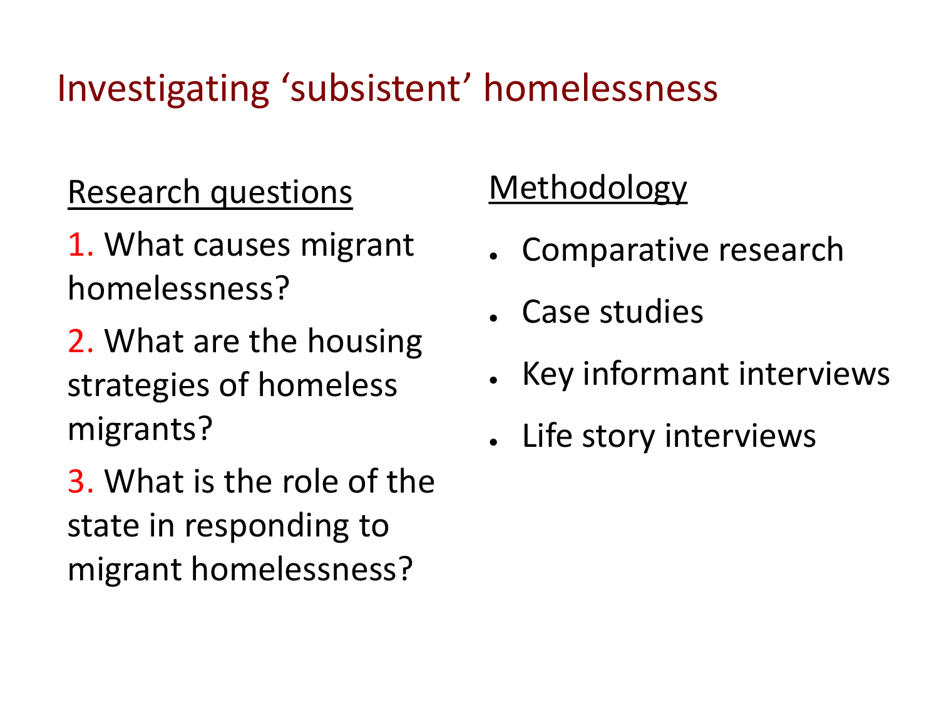#### Investigating 'subsistent' homelessness

#### Research questions

- 1. What causes migrant homelessness?
- 2. What are the housing strategies of homeless migrants?
- 3. What is the role of the state in responding to migrant homelessness?

#### **Methodology**

- Comparative research
- Case studies
- Key informant interviews
- Life story interviews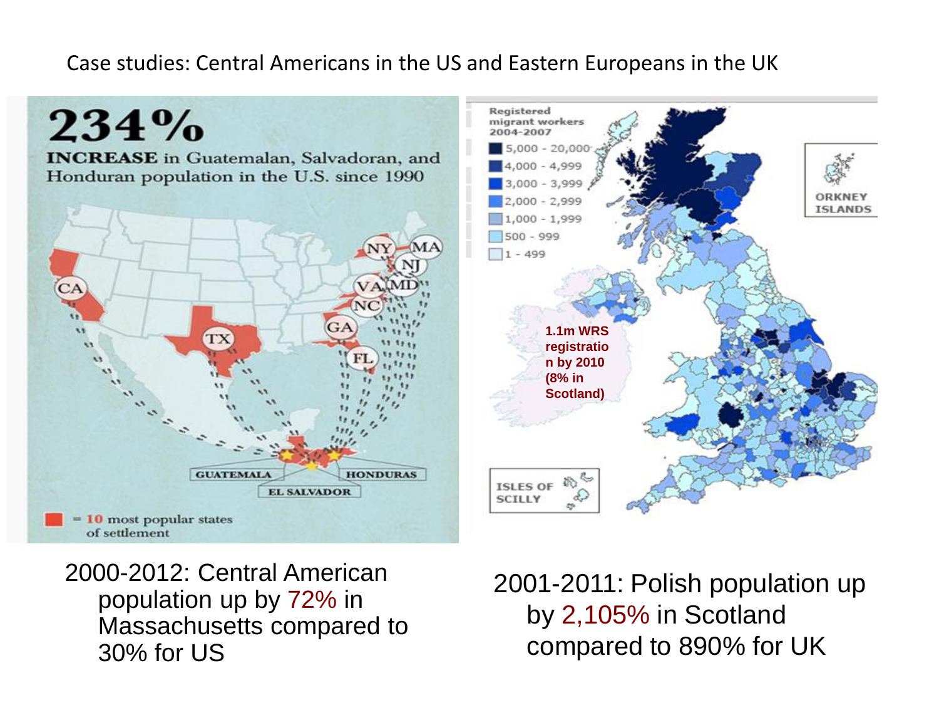#### Case studies: Central Americans in the US and Eastern Europeans in the UK



2000-2012: Central American population up by 72% in Massachusetts compared to 30% for US

2001-2011: Polish population up by 2,105% in Scotland compared to 890% for UK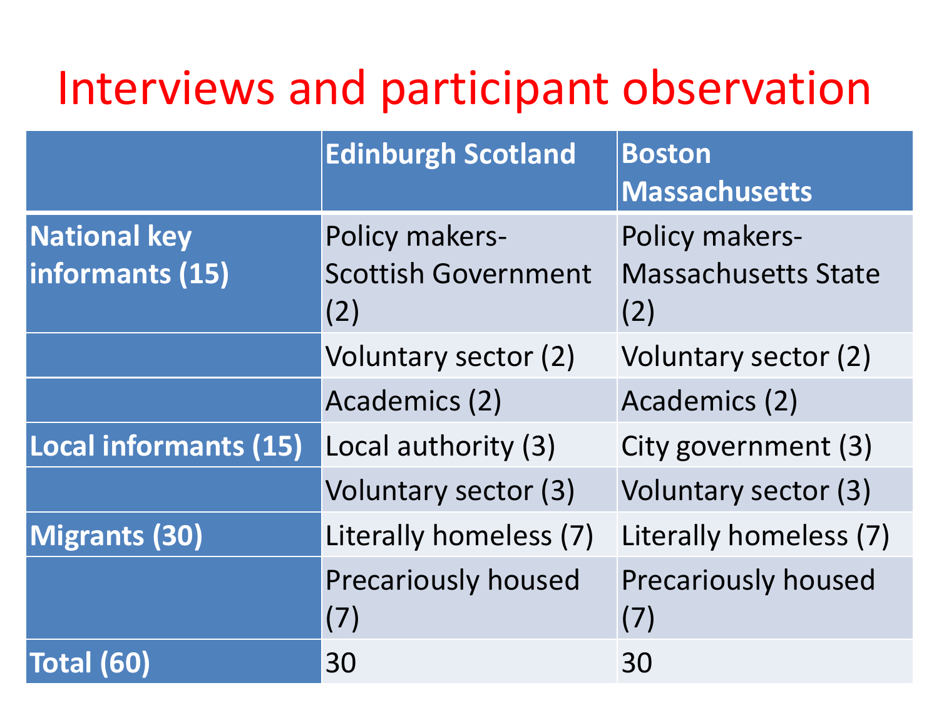### Interviews and participant observation

|                                        | <b>Edinburgh Scotland</b>                           | <b>Boston</b><br><b>Massachusetts</b>               |  |
|----------------------------------------|-----------------------------------------------------|-----------------------------------------------------|--|
| <b>National key</b><br>informants (15) | Policy makers-<br><b>Scottish Government</b><br>(2) | Policy makers-<br><b>Massachusetts State</b><br>(2) |  |
|                                        | Voluntary sector (2)                                | Voluntary sector (2)                                |  |
|                                        | Academics (2)                                       | Academics (2)                                       |  |
| Local informants (15)                  | Local authority (3)                                 | City government (3)                                 |  |
|                                        | Voluntary sector (3)                                | Voluntary sector (3)                                |  |
| <b>Migrants (30)</b>                   | Literally homeless (7)                              | Literally homeless (7)                              |  |
|                                        | <b>Precariously housed</b><br>(7)                   | <b>Precariously housed</b><br>(7)                   |  |
| Total (60)                             | 30                                                  | 30                                                  |  |